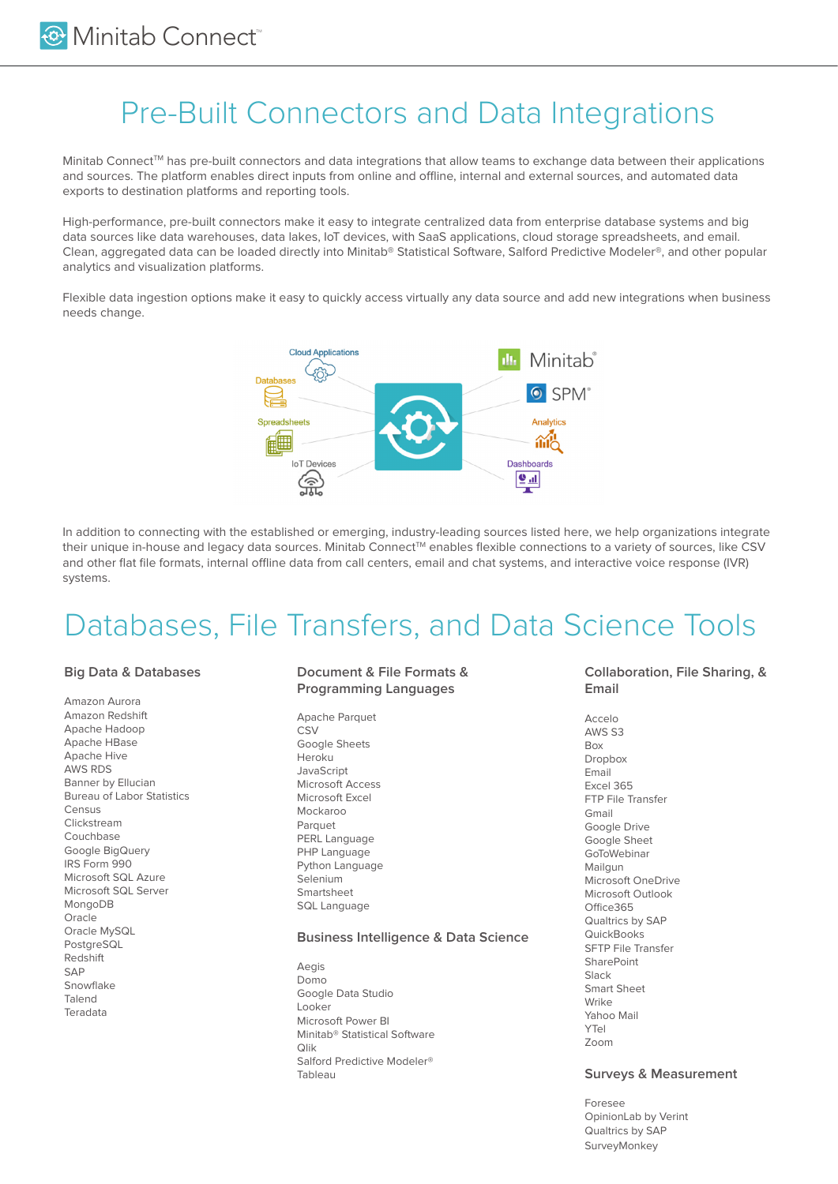## Pre-Built Connectors and Data Integrations

Minitab Connect™ has pre-built connectors and data integrations that allow teams to exchange data between their applications and sources. The platform enables direct inputs from online and offline, internal and external sources, and automated data exports to destination platforms and reporting tools.

High-performance, pre-built connectors make it easy to integrate centralized data from enterprise database systems and big data sources like data warehouses, data lakes, IoT devices, with SaaS applications, cloud storage spreadsheets, and email. Clean, aggregated data can be loaded directly into Minitab® Statistical Software, Salford Predictive Modeler®, and other popular analytics and visualization platforms.

Flexible data ingestion options make it easy to quickly access virtually any data source and add new integrations when business needs change.



In addition to connecting with the established or emerging, industry-leading sources listed here, we help organizations integrate their unique in-house and legacy data sources. Minitab Connect™ enables flexible connections to a variety of sources, like CSV and other flat file formats, internal offline data from call centers, email and chat systems, and interactive voice response (IVR) systems.

# Databases, File Transfers, and Data Science Tools

### **Big Data & Databases**

Amazon Aurora Amazon Redshift Apache Hadoop Apache HBase Apache Hive AWS RDS Banner by Ellucian Bureau of Labor Statistics Census Clickstream Couchbase Google BigQuery IRS Form 990 Microsoft SQL Azure Microsoft SQL Server MongoDB Oracle Oracle MySQL PostgreSQL Redshift SAP Snowflake Talend **Teradata** 

### **Document & File Formats & Programming Languages**

Apache Parquet **CSV** Google Sheets Heroku JavaScript Microsoft Access Microsoft Excel Mockaroo Parquet PERL Language PHP Language Python Language Selenium Smartsheet SQL Language

#### **Business Intelligence & Data Science**

Aegis Domo Google Data Studio Looker Microsoft Power BI Minitab®️ Statistical Software Qlik Salford Predictive Modeler®️ Tableau

### **Collaboration, File Sharing, & Email**

Accelo AWS S3 Box Dropbox Email Excel 365 FTP File Transfer Gmail Google Drive Google Sheet GoToWebinar Mailgun Microsoft OneDrive Microsoft Outlook Office365 Qualtrics by SAP **QuickBooks** SFTP File Transfer **SharePoint** Slack Smart Sheet Wrike Yahoo Mail YTel Zoom

### **Surveys & Measurement**

Foresee OpinionLab by Verint Qualtrics by SAP **SurveyMonkey**